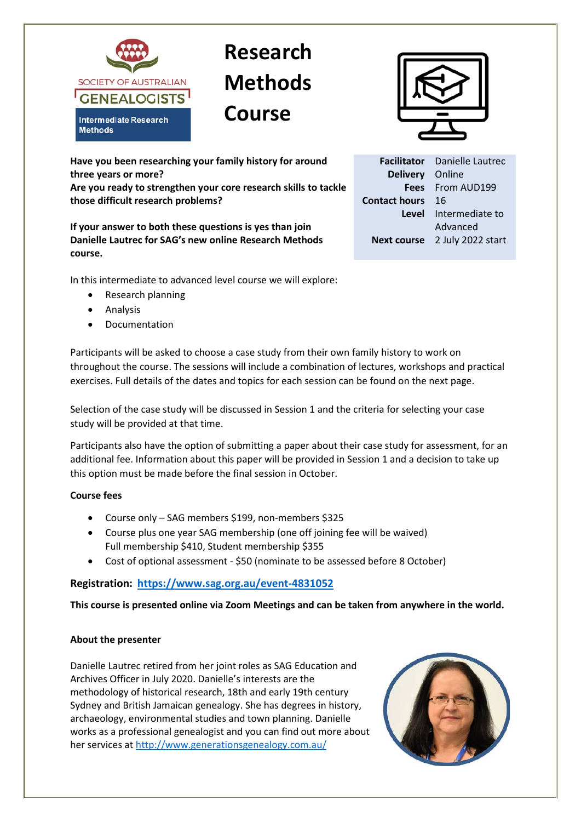

## **Research Methods Course**



**Facilitator** Danielle Lautrec

Online

**Next course** 2 July 2022 start

**Level** Intermediate to

Advanced

From AUD199

**Delivery Fees Contact hours** 16

**Have you been researching your family history for around three years or more?** 

**Are you ready to strengthen your core research skills to tackle those difficult research problems?** 

**If your answer to both these questions is yes than join Danielle Lautrec for SAG's new online Research Methods course.**

In this intermediate to advanced level course we will explore:

- Research planning
- Analysis
- **Documentation**

Participants will be asked to choose a case study from their own family history to work on throughout the course. The sessions will include a combination of lectures, workshops and practical exercises. Full details of the dates and topics for each session can be found on the next page.

Selection of the case study will be discussed in Session 1 and the criteria for selecting your case study will be provided at that time.

Participants also have the option of submitting a paper about their case study for assessment, for an additional fee. Information about this paper will be provided in Session 1 and a decision to take up this option must be made before the final session in October.

## **Course fees**

- Course only SAG members \$199, non-members \$325
- Course plus one year SAG membership (one off joining fee will be waived) Full membership \$410, Student membership \$355
- Cost of optional assessment \$50 (nominate to be assessed before 8 October)

## **Registration: <https://www.sag.org.au/event-4831052>**

**This course is presented online via Zoom Meetings and can be taken from anywhere in the world.**

## **About the presenter**

Danielle Lautrec retired from her joint roles as SAG Education and Archives Officer in July 2020. Danielle's interests are the methodology of historical research, 18th and early 19th century Sydney and British Jamaican genealogy. She has degrees in history, archaeology, environmental studies and town planning. Danielle works as a professional genealogist and you can find out more about her services at<http://www.generationsgenealogy.com.au/>